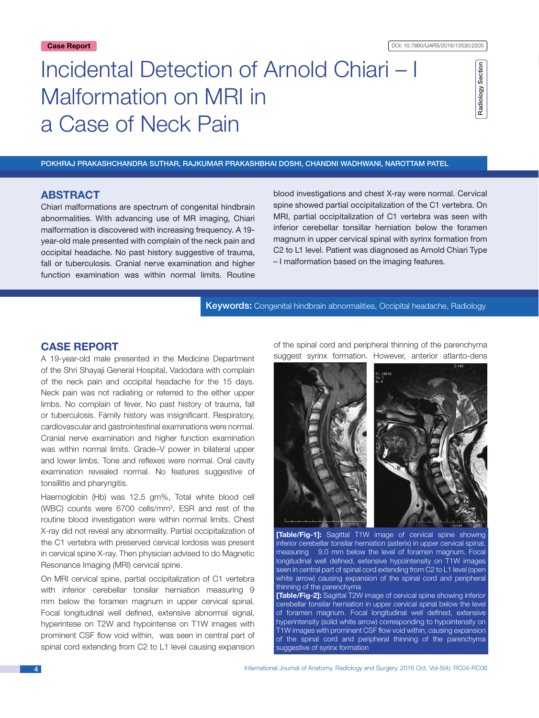# Incidental Detection of Arnold Chiari – I Malformation on MRI in a Case of Neck Pain

#### Pokhraj Prakashchandra Suthar, Rajkumar Prakashbhai Doshi, Chandni Wadhwani, Narottam Patel

# **ABSTRACT**

Chiari malformations are spectrum of congenital hindbrain abnormalities. With advancing use of MR imaging, Chiari malformation is discovered with increasing frequency. A 19 year-old male presented with complain of the neck pain and occipital headache. No past history suggestive of trauma, fall or tuberculosis. Cranial nerve examination and higher function examination was within normal limits. Routine

blood investigations and chest X-ray were normal. Cervical spine showed partial occipitalization of the C1 vertebra. On MRI, partial occipitalization of C1 vertebra was seen with inferior cerebellar tonsillar herniation below the foramen magnum in upper cervical spinal with syrinx formation from C2 to L1 level. Patient was diagnosed as Arnold Chiari Type – I malformation based on the imaging features.

Keywords: Congenital hindbrain abnormalities, Occipital headache, Radiology

# **CASE Report**

A 19-year-old male presented in the Medicine Department of the Shri Shayaji General Hospital, Vadodara with complain of the neck pain and occipital headache for the 15 days. Neck pain was not radiating or referred to the either upper limbs. No complain of fever. No past history of trauma, fall or tuberculosis. Family history was insignificant. Respiratory, cardiovascular and gastrointestinal examinations were normal. Cranial nerve examination and higher function examination was within normal limits. Grade–V power in bilateral upper and lower limbs. Tone and reflexes were normal. Oral cavity examination revealed normal. No features suggestive of tonsillitis and pharyngitis.

Haemoglobin (Hb) was 12.5 gm%, Total white blood cell (WBC) counts were 6700 cells/mm3 , ESR and rest of the routine blood investigation were within normal limits. Chest X-ray did not reveal any abnormality. Partial occipitalization of the C1 vertebra with preserved cervical lordosis was present in cervical spine X-ray. Then physician advised to do Magnetic Resonance Imaging (MRI) cervical spine.

On MRI cervical spine, partial occipitalization of C1 vertebra with inferior cerebellar tonsilar herniation measuring 9 mm below the foramen magnum in upper cervical spinal. Focal longitudinal well defined, extensive abnormal signal, hyperintese on T2W and hypointense on T1W images with prominent CSF flow void within, was seen in central part of spinal cord extending from C2 to L1 level causing expansion of the spinal cord and peripheral thinning of the parenchyma suggest syrinx formation. However, anterior atlanto-dens



**[Table/Fig-1]:** Sagittal T1W image of cervical spine showing inferior cerebellar tonsilar herniation (asterix) in upper cervical spinal, measuring 9.0 mm below the level of foramen magnum. Focal longitudinal well defined, extensive hypointensity on T1W images seen in central part of spinal cord extending from C2 to L1 level (open white arrow) causing expansion of the spinal cord and peripheral thinning of the parenchyma

**[Table/Fig-2]:** Sagittal T2W image of cervical spine showing inferior cerebellar tonsilar herniation in upper cervical spinal below the level of foramen magnum. Focal longitudinal well defined, extensive hyperintensity (solid white arrow) corresponding to hypointensity on T1W images with prominent CSF flow void within, causing expansion of the spinal cord and peripheral thinning of the parenchyma suggestive of syrinx formation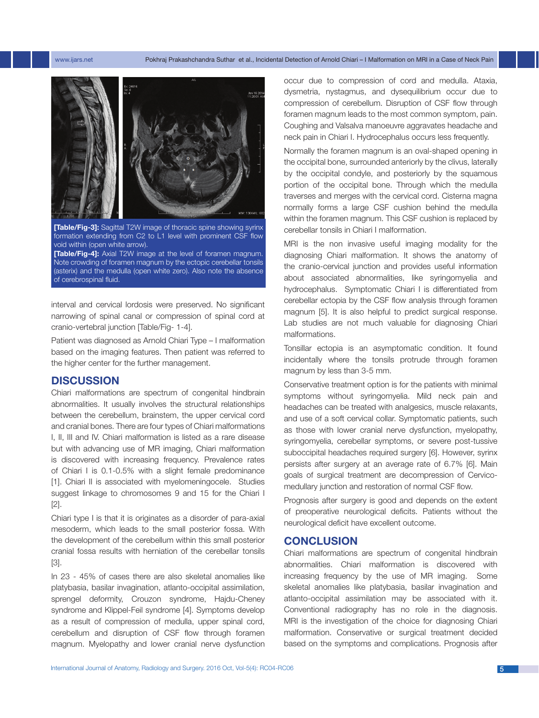#### www.ijars.net Pokhraj Prakashchandra Suthar et al., Incidental Detection of Arnold Chiari – I Malformation on MRI in a Case of Neck Pain



**[Table/Fig-3]:** Sagittal T2W image of thoracic spine showing syrinx formation extending from C2 to L1 level with prominent CSF flow void within (open white arrow). **[Table/Fig-4]:** Axial T2W image at the level of foramen magnum.

Note crowding of foramen magnum by the ectopic cerebellar tonsils (asterix) and the medulla (open white zero). Also note the absence of cerebrospinal fluid.

interval and cervical lordosis were preserved. No significant narrowing of spinal canal or compression of spinal cord at cranio-vertebral junction [Table/Fig- 1-4].

Patient was diagnosed as Arnold Chiari Type – I malformation based on the imaging features. Then patient was referred to the higher center for the further management.

# **DISCUSSION**

Chiari malformations are spectrum of congenital hindbrain abnormalities. It usually involves the structural relationships between the cerebellum, brainstem, the upper cervical cord and cranial bones. There are four types of Chiari malformations I, II, III and IV. Chiari malformation is listed as a rare disease but with advancing use of MR imaging, Chiari malformation is discovered with increasing frequency. Prevalence rates of Chiari I is 0.1-0.5% with a slight female predominance [1]. Chiari II is associated with myelomeningocele. Studies suggest linkage to chromosomes 9 and 15 for the Chiari I [2].

Chiari type I is that it is originates as a disorder of para-axial mesoderm, which leads to the small posterior fossa. With the development of the cerebellum within this small posterior cranial fossa results with herniation of the cerebellar tonsils [3].

In 23 - 45% of cases there are also skeletal anomalies like platybasia, basilar invagination, atlanto-occipital assimilation, sprengel deformity, Crouzon syndrome, Hajdu-Cheney syndrome and Klippel-Feil syndrome [4]. Symptoms develop as a result of compression of medulla, upper spinal cord, cerebellum and disruption of CSF flow through foramen magnum. Myelopathy and lower cranial nerve dysfunction occur due to compression of cord and medulla. Ataxia, dysmetria, nystagmus, and dysequilibrium occur due to compression of cerebellum. Disruption of CSF flow through foramen magnum leads to the most common symptom, pain. Coughing and Valsalva manoeuvre aggravates headache and neck pain in Chiari I. Hydrocephalus occurs less frequently.

Normally the foramen magnum is an oval-shaped opening in the occipital bone, surrounded anteriorly by the clivus, laterally by the occipital condyle, and posteriorly by the squamous portion of the occipital bone. Through which the medulla traverses and merges with the cervical cord. Cisterna magna normally forms a large CSF cushion behind the medulla within the foramen magnum. This CSF cushion is replaced by cerebellar tonsils in Chiari I malformation.

MRI is the non invasive useful imaging modality for the diagnosing Chiari malformation. It shows the anatomy of the cranio-cervical junction and provides useful information about associated abnormalities, like syringomyelia and hydrocephalus. Symptomatic Chiari I is differentiated from cerebellar ectopia by the CSF flow analysis through foramen magnum [5]. It is also helpful to predict surgical response. Lab studies are not much valuable for diagnosing Chiari malformations.

Tonsillar ectopia is an asymptomatic condition. It found incidentally where the tonsils protrude through foramen magnum by less than 3-5 mm.

Conservative treatment option is for the patients with minimal symptoms without syringomyelia. Mild neck pain and headaches can be treated with analgesics, muscle relaxants, and use of a soft cervical collar. Symptomatic patients, such as those with lower cranial nerve dysfunction, myelopathy, syringomyelia, cerebellar symptoms, or severe post-tussive suboccipital headaches required surgery [6]. However, syrinx persists after surgery at an average rate of 6.7% [6]. Main goals of surgical treatment are decompression of Cervicomedullary junction and restoration of normal CSF flow.

Prognosis after surgery is good and depends on the extent of preoperative neurological deficits. Patients without the neurological deficit have excellent outcome.

## **Conclusion**

Chiari malformations are spectrum of congenital hindbrain abnormalities. Chiari malformation is discovered with increasing frequency by the use of MR imaging. Some skeletal anomalies like platybasia, basilar invagination and atlanto-occipital assimilation may be associated with it. Conventional radiography has no role in the diagnosis. MRI is the investigation of the choice for diagnosing Chiari malformation. Conservative or surgical treatment decided based on the symptoms and complications. Prognosis after